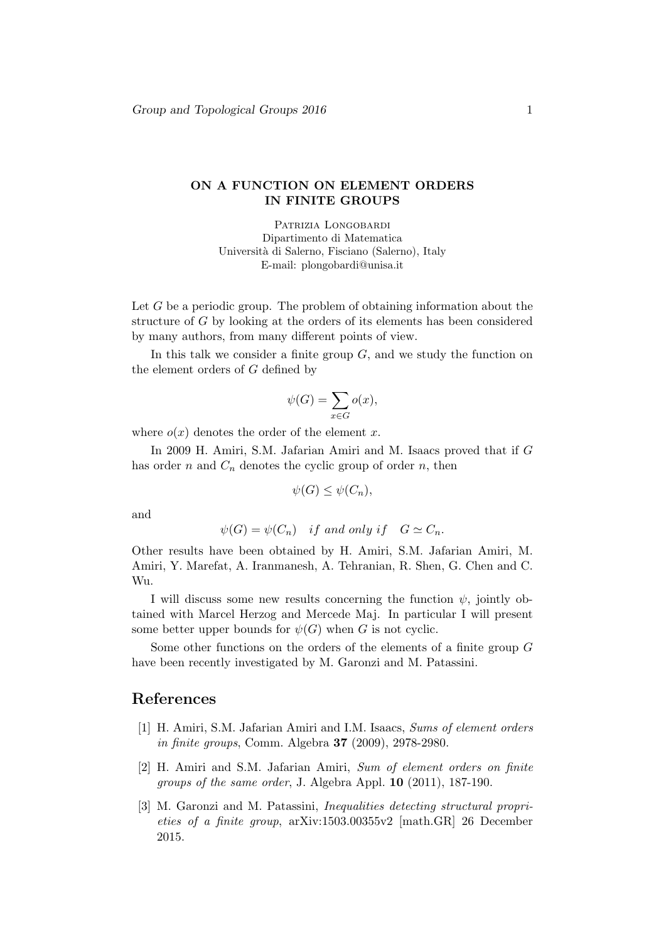## ON A FUNCTION ON ELEMENT ORDERS IN FINITE GROUPS

PATRIZIA LONGOBARDI Dipartimento di Matematica Universit`a di Salerno, Fisciano (Salerno), Italy E-mail: plongobardi@unisa.it

Let G be a periodic group. The problem of obtaining information about the structure of G by looking at the orders of its elements has been considered by many authors, from many different points of view.

In this talk we consider a finite group  $G$ , and we study the function on the element orders of G defined by

$$
\psi(G) = \sum_{x \in G} o(x),
$$

where  $o(x)$  denotes the order of the element x.

In 2009 H. Amiri, S.M. Jafarian Amiri and M. Isaacs proved that if G has order n and  $C_n$  denotes the cyclic group of order n, then

$$
\psi(G) \le \psi(C_n),
$$

and

$$
\psi(G) = \psi(C_n) \quad \text{if and only if} \quad G \simeq C_n.
$$

Other results have been obtained by H. Amiri, S.M. Jafarian Amiri, M. Amiri, Y. Marefat, A. Iranmanesh, A. Tehranian, R. Shen, G. Chen and C. Wu.

I will discuss some new results concerning the function  $\psi$ , jointly obtained with Marcel Herzog and Mercede Maj. In particular I will present some better upper bounds for  $\psi(G)$  when G is not cyclic.

Some other functions on the orders of the elements of a finite group G have been recently investigated by M. Garonzi and M. Patassini.

## References

- [1] H. Amiri, S.M. Jafarian Amiri and I.M. Isaacs, Sums of element orders in finite groups, Comm. Algebra 37 (2009), 2978-2980.
- [2] H. Amiri and S.M. Jafarian Amiri, Sum of element orders on finite groups of the same order, J. Algebra Appl. 10 (2011), 187-190.
- [3] M. Garonzi and M. Patassini, Inequalities detecting structural proprieties of a finite group, arXiv:1503.00355v2 [math.GR] 26 December 2015.